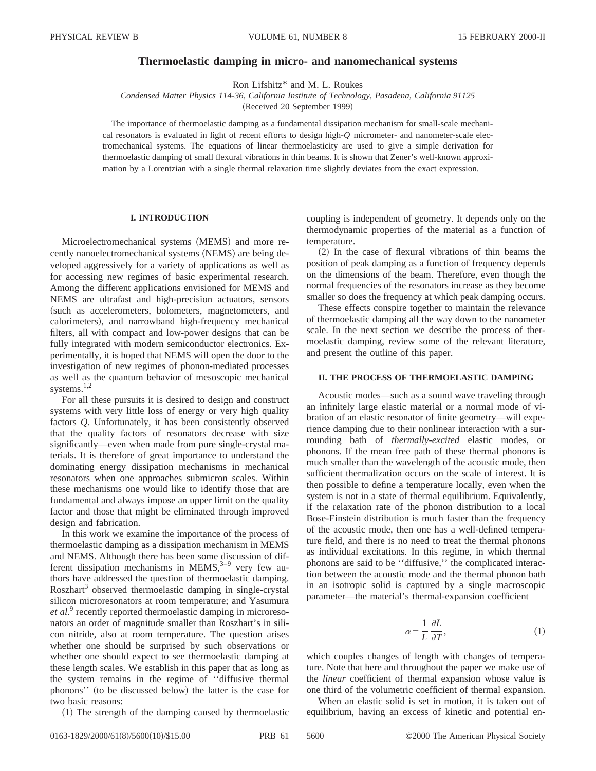# **Thermoelastic damping in micro- and nanomechanical systems**

Ron Lifshitz\* and M. L. Roukes

*Condensed Matter Physics 114-36, California Institute of Technology, Pasadena, California 91125*

(Received 20 September 1999)

The importance of thermoelastic damping as a fundamental dissipation mechanism for small-scale mechanical resonators is evaluated in light of recent efforts to design high-*Q* micrometer- and nanometer-scale electromechanical systems. The equations of linear thermoelasticity are used to give a simple derivation for thermoelastic damping of small flexural vibrations in thin beams. It is shown that Zener's well-known approximation by a Lorentzian with a single thermal relaxation time slightly deviates from the exact expression.

#### **I. INTRODUCTION**

Microelectromechanical systems (MEMS) and more recently nanoelectromechanical systems (NEMS) are being developed aggressively for a variety of applications as well as for accessing new regimes of basic experimental research. Among the different applications envisioned for MEMS and NEMS are ultrafast and high-precision actuators, sensors (such as accelerometers, bolometers, magnetometers, and calorimeters), and narrowband high-frequency mechanical filters, all with compact and low-power designs that can be fully integrated with modern semiconductor electronics. Experimentally, it is hoped that NEMS will open the door to the investigation of new regimes of phonon-mediated processes as well as the quantum behavior of mesoscopic mechanical systems.<sup>1,2</sup>

For all these pursuits it is desired to design and construct systems with very little loss of energy or very high quality factors *Q*. Unfortunately, it has been consistently observed that the quality factors of resonators decrease with size significantly—even when made from pure single-crystal materials. It is therefore of great importance to understand the dominating energy dissipation mechanisms in mechanical resonators when one approaches submicron scales. Within these mechanisms one would like to identify those that are fundamental and always impose an upper limit on the quality factor and those that might be eliminated through improved design and fabrication.

In this work we examine the importance of the process of thermoelastic damping as a dissipation mechanism in MEMS and NEMS. Although there has been some discussion of different dissipation mechanisms in  $MEMS<sub>1</sub><sup>3–9</sup>$  very few authors have addressed the question of thermoelastic damping. Roszhart<sup>3</sup> observed thermoelastic damping in single-crystal silicon microresonators at room temperature; and Yasumura *et al.*<sup>9</sup> recently reported thermoelastic damping in microresonators an order of magnitude smaller than Roszhart's in silicon nitride, also at room temperature. The question arises whether one should be surprised by such observations or whether one should expect to see thermoelastic damping at these length scales. We establish in this paper that as long as the system remains in the regime of ''diffusive thermal phonons" (to be discussed below) the latter is the case for two basic reasons:

 $(1)$  The strength of the damping caused by thermoelastic

coupling is independent of geometry. It depends only on the thermodynamic properties of the material as a function of temperature.

 $(2)$  In the case of flexural vibrations of thin beams the position of peak damping as a function of frequency depends on the dimensions of the beam. Therefore, even though the normal frequencies of the resonators increase as they become smaller so does the frequency at which peak damping occurs.

These effects conspire together to maintain the relevance of thermoelastic damping all the way down to the nanometer scale. In the next section we describe the process of thermoelastic damping, review some of the relevant literature, and present the outline of this paper.

#### **II. THE PROCESS OF THERMOELASTIC DAMPING**

Acoustic modes—such as a sound wave traveling through an infinitely large elastic material or a normal mode of vibration of an elastic resonator of finite geometry—will experience damping due to their nonlinear interaction with a surrounding bath of *thermally-excited* elastic modes, or phonons. If the mean free path of these thermal phonons is much smaller than the wavelength of the acoustic mode, then sufficient thermalization occurs on the scale of interest. It is then possible to define a temperature locally, even when the system is not in a state of thermal equilibrium. Equivalently, if the relaxation rate of the phonon distribution to a local Bose-Einstein distribution is much faster than the frequency of the acoustic mode, then one has a well-defined temperature field, and there is no need to treat the thermal phonons as individual excitations. In this regime, in which thermal phonons are said to be ''diffusive,'' the complicated interaction between the acoustic mode and the thermal phonon bath in an isotropic solid is captured by a single macroscopic parameter—the material's thermal-expansion coefficient

$$
\alpha = \frac{1}{L} \frac{\partial L}{\partial T},\tag{1}
$$

which couples changes of length with changes of temperature. Note that here and throughout the paper we make use of the *linear* coefficient of thermal expansion whose value is one third of the volumetric coefficient of thermal expansion.

When an elastic solid is set in motion, it is taken out of equilibrium, having an excess of kinetic and potential en-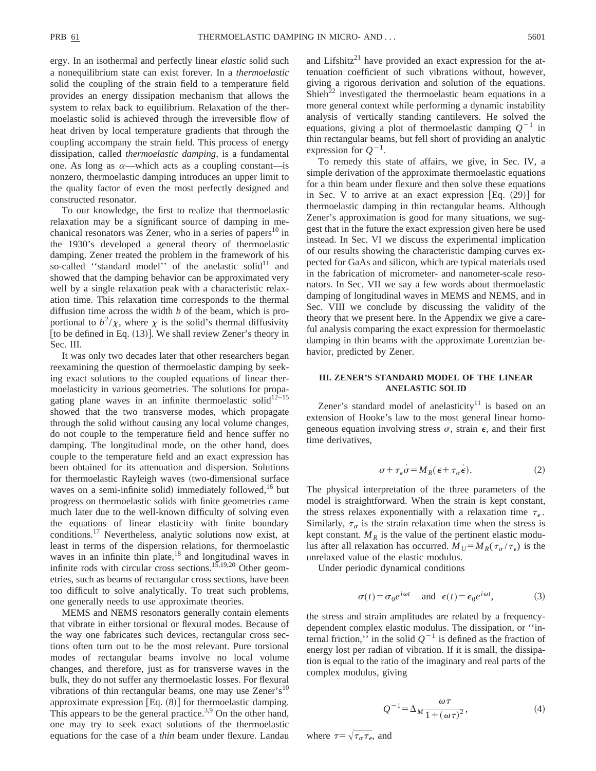ergy. In an isothermal and perfectly linear *elastic* solid such a nonequilibrium state can exist forever. In a *thermoelastic* solid the coupling of the strain field to a temperature field provides an energy dissipation mechanism that allows the system to relax back to equilibrium. Relaxation of the thermoelastic solid is achieved through the irreversible flow of heat driven by local temperature gradients that through the coupling accompany the strain field. This process of energy dissipation, called *thermoelastic damping,* is a fundamental one. As long as  $\alpha$ —which acts as a coupling constant—is nonzero, thermoelastic damping introduces an upper limit to the quality factor of even the most perfectly designed and constructed resonator.

To our knowledge, the first to realize that thermoelastic relaxation may be a significant source of damping in mechanical resonators was Zener, who in a series of papers<sup>10</sup> in the 1930's developed a general theory of thermoelastic damping. Zener treated the problem in the framework of his so-called "standard model" of the anelastic solid $11$  and showed that the damping behavior can be approximated very well by a single relaxation peak with a characteristic relaxation time. This relaxation time corresponds to the thermal diffusion time across the width *b* of the beam, which is proportional to  $b^2/\chi$ , where  $\chi$  is the solid's thermal diffusivity [to be defined in Eq.  $(13)$ ]. We shall review Zener's theory in Sec. III.

It was only two decades later that other researchers began reexamining the question of thermoelastic damping by seeking exact solutions to the coupled equations of linear thermoelasticity in various geometries. The solutions for propagating plane waves in an infinite thermoelastic solid<sup>12–15</sup> showed that the two transverse modes, which propagate through the solid without causing any local volume changes, do not couple to the temperature field and hence suffer no damping. The longitudinal mode, on the other hand, does couple to the temperature field and an exact expression has been obtained for its attenuation and dispersion. Solutions for thermoelastic Rayleigh waves (two-dimensional surface waves on a semi-infinite solid) immediately followed,<sup>16</sup> but progress on thermoelastic solids with finite geometries came much later due to the well-known difficulty of solving even the equations of linear elasticity with finite boundary conditions.17 Nevertheless, analytic solutions now exist, at least in terms of the dispersion relations, for thermoelastic waves in an infinite thin plate,<sup>18</sup> and longitudinal waves in infinite rods with circular cross sections.<sup>15,19,20</sup> Other geometries, such as beams of rectangular cross sections, have been too difficult to solve analytically. To treat such problems, one generally needs to use approximate theories.

MEMS and NEMS resonators generally contain elements that vibrate in either torsional or flexural modes. Because of the way one fabricates such devices, rectangular cross sections often turn out to be the most relevant. Pure torsional modes of rectangular beams involve no local volume changes, and therefore, just as for transverse waves in the bulk, they do not suffer any thermoelastic losses. For flexural vibrations of thin rectangular beams, one may use Zener's<sup>10</sup> approximate expression  $[Eq. (8)]$  for thermoelastic damping. This appears to be the general practice.<sup>3,9</sup> On the other hand, one may try to seek exact solutions of the thermoelastic equations for the case of a *thin* beam under flexure. Landau and Lifshitz<sup>21</sup> have provided an exact expression for the attenuation coefficient of such vibrations without, however, giving a rigorous derivation and solution of the equations. Shieh<sup>22</sup> investigated the thermoelastic beam equations in a more general context while performing a dynamic instability analysis of vertically standing cantilevers. He solved the equations, giving a plot of thermoelastic damping  $Q^{-1}$  in thin rectangular beams, but fell short of providing an analytic expression for  $Q^{-1}$ .

To remedy this state of affairs, we give, in Sec. IV, a simple derivation of the approximate thermoelastic equations for a thin beam under flexure and then solve these equations in Sec. V to arrive at an exact expression  $[Eq. (29)]$  for thermoelastic damping in thin rectangular beams. Although Zener's approximation is good for many situations, we suggest that in the future the exact expression given here be used instead. In Sec. VI we discuss the experimental implication of our results showing the characteristic damping curves expected for GaAs and silicon, which are typical materials used in the fabrication of micrometer- and nanometer-scale resonators. In Sec. VII we say a few words about thermoelastic damping of longitudinal waves in MEMS and NEMS, and in Sec. VIII we conclude by discussing the validity of the theory that we present here. In the Appendix we give a careful analysis comparing the exact expression for thermoelastic damping in thin beams with the approximate Lorentzian behavior, predicted by Zener.

## **III. ZENER'S STANDARD MODEL OF THE LINEAR ANELASTIC SOLID**

Zener's standard model of anelasticity<sup>11</sup> is based on an extension of Hooke's law to the most general linear homogeneous equation involving stress  $\sigma$ , strain  $\epsilon$ , and their first time derivatives,

$$
\sigma + \tau_{\epsilon}\sigma = M_R(\epsilon + \tau_{\sigma}\epsilon). \tag{2}
$$

The physical interpretation of the three parameters of the model is straightforward. When the strain is kept constant, the stress relaxes exponentially with a relaxation time  $\tau_{\epsilon}$ . Similarly,  $\tau_{\sigma}$  is the strain relaxation time when the stress is kept constant.  $M_R$  is the value of the pertinent elastic modulus after all relaxation has occurred.  $M_U = M_R(\tau_\sigma/\tau_\epsilon)$  is the unrelaxed value of the elastic modulus.

Under periodic dynamical conditions

$$
\sigma(t) = \sigma_0 e^{i\omega t} \quad \text{and} \quad \epsilon(t) = \epsilon_0 e^{i\omega t}, \tag{3}
$$

the stress and strain amplitudes are related by a frequencydependent complex elastic modulus. The dissipation, or ''internal friction," in the solid  $Q^{-1}$  is defined as the fraction of energy lost per radian of vibration. If it is small, the dissipation is equal to the ratio of the imaginary and real parts of the complex modulus, giving

$$
Q^{-1} = \Delta_M \frac{\omega \tau}{1 + (\omega \tau)^2},\tag{4}
$$

where  $\tau=\sqrt{\tau_{\alpha}\tau_{\epsilon}}$ , and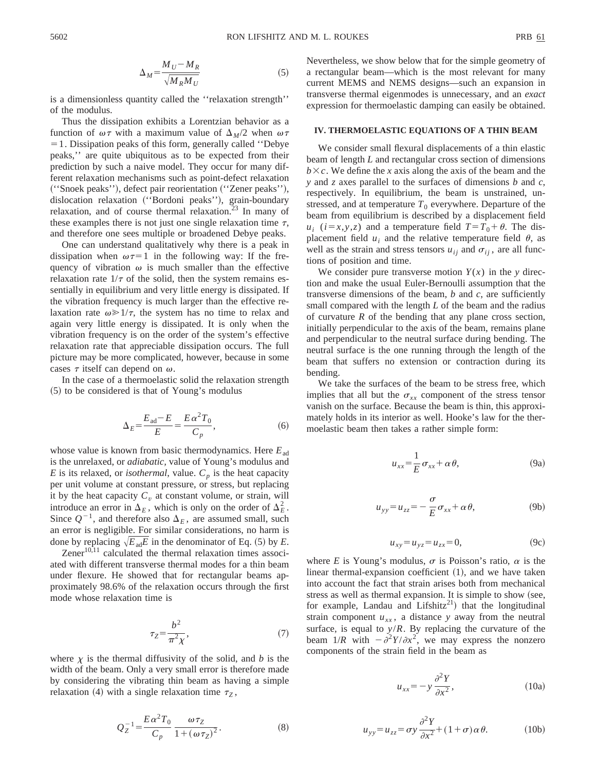$$
\Delta_M = \frac{M_U - M_R}{\sqrt{M_R M_U}}\tag{5}
$$

is a dimensionless quantity called the ''relaxation strength'' of the modulus.

Thus the dissipation exhibits a Lorentzian behavior as a function of  $\omega \tau$  with a maximum value of  $\Delta_M/2$  when  $\omega \tau$  $=1$ . Dissipation peaks of this form, generally called "Debye" peaks,'' are quite ubiquitous as to be expected from their prediction by such a naive model. They occur for many different relaxation mechanisms such as point-defect relaxation ("Snoek peaks"), defect pair reorientation ("Zener peaks"), dislocation relaxation ("Bordoni peaks"), grain-boundary relaxation, and of course thermal relaxation.<sup>23</sup> In many of these examples there is not just one single relaxation time  $\tau$ , and therefore one sees multiple or broadened Debye peaks.

One can understand qualitatively why there is a peak in dissipation when  $\omega \tau = 1$  in the following way: If the frequency of vibration  $\omega$  is much smaller than the effective relaxation rate  $1/\tau$  of the solid, then the system remains essentially in equilibrium and very little energy is dissipated. If the vibration frequency is much larger than the effective relaxation rate  $\omega \ge 1/\tau$ , the system has no time to relax and again very little energy is dissipated. It is only when the vibration frequency is on the order of the system's effective relaxation rate that appreciable dissipation occurs. The full picture may be more complicated, however, because in some cases  $\tau$  itself can depend on  $\omega$ .

In the case of a thermoelastic solid the relaxation strength  $(5)$  to be considered is that of Young's modulus

$$
\Delta_E = \frac{E_{\text{ad}} - E}{E} = \frac{E\alpha^2 T_0}{C_p},\tag{6}
$$

whose value is known from basic thermodynamics. Here  $E_{ad}$ is the unrelaxed, or *adiabatic,* value of Young's modulus and *E* is its relaxed, or *isothermal*, value.  $C_p$  is the heat capacity per unit volume at constant pressure, or stress, but replacing it by the heat capacity  $C_v$  at constant volume, or strain, will introduce an error in  $\Delta_E$ , which is only on the order of  $\Delta_E^2$ . Since  $Q^{-1}$ , and therefore also  $\Delta_E$ , are assumed small, such an error is negligible. For similar considerations, no harm is done by replacing  $\sqrt{E_{ad}E}$  in the denominator of Eq. (5) by *E*.

Zener $10,11$  calculated the thermal relaxation times associated with different transverse thermal modes for a thin beam under flexure. He showed that for rectangular beams approximately 98.6% of the relaxation occurs through the first mode whose relaxation time is

$$
\tau_Z = \frac{b^2}{\pi^2 \chi},\tag{7}
$$

where  $\chi$  is the thermal diffusivity of the solid, and *b* is the width of the beam. Only a very small error is therefore made by considering the vibrating thin beam as having a simple relaxation (4) with a single relaxation time  $\tau_Z$ ,

$$
Q_Z^{-1} = \frac{E\alpha^2 T_0}{C_p} \frac{\omega \tau_Z}{1 + (\omega \tau_Z)^2}.
$$
 (8)

Nevertheless, we show below that for the simple geometry of a rectangular beam—which is the most relevant for many current MEMS and NEMS designs—such an expansion in transverse thermal eigenmodes is unnecessary, and an *exact* expression for thermoelastic damping can easily be obtained.

#### **IV. THERMOELASTIC EQUATIONS OF A THIN BEAM**

We consider small flexural displacements of a thin elastic beam of length *L* and rectangular cross section of dimensions  $b \times c$ . We define the *x* axis along the axis of the beam and the *y* and *z* axes parallel to the surfaces of dimensions *b* and *c*, respectively. In equilibrium, the beam is unstrained, unstressed, and at temperature  $T_0$  everywhere. Departure of the beam from equilibrium is described by a displacement field  $u_i$  ( $i=x,y,z$ ) and a temperature field  $T=T_0+\theta$ . The displacement field  $u_i$  and the relative temperature field  $\theta$ , as well as the strain and stress tensors  $u_{ij}$  and  $\sigma_{ij}$ , are all functions of position and time.

We consider pure transverse motion  $Y(x)$  in the *y* direction and make the usual Euler-Bernoulli assumption that the transverse dimensions of the beam, *b* and *c*, are sufficiently small compared with the length *L* of the beam and the radius of curvature *R* of the bending that any plane cross section, initially perpendicular to the axis of the beam, remains plane and perpendicular to the neutral surface during bending. The neutral surface is the one running through the length of the beam that suffers no extension or contraction during its bending.

We take the surfaces of the beam to be stress free, which implies that all but the  $\sigma_{xx}$  component of the stress tensor vanish on the surface. Because the beam is thin, this approximately holds in its interior as well. Hooke's law for the thermoelastic beam then takes a rather simple form:

$$
u_{xx} = \frac{1}{E} \sigma_{xx} + \alpha \theta, \tag{9a}
$$

$$
u_{yy} = u_{zz} = -\frac{\sigma}{E}\sigma_{xx} + \alpha\theta, \qquad (9b)
$$

$$
u_{xy} = u_{yz} = u_{zx} = 0,
$$
 (9c)

where *E* is Young's modulus,  $\sigma$  is Poisson's ratio,  $\alpha$  is the linear thermal-expansion coefficient  $(1)$ , and we have taken into account the fact that strain arises both from mechanical stress as well as thermal expansion. It is simple to show (see, for example, Landau and Lifshitz<sup>21</sup>) that the longitudinal strain component  $u_{xx}$ , a distance *y* away from the neutral surface, is equal to  $y/R$ . By replacing the curvature of the beam  $1/R$  with  $-\partial^2 Y/\partial x^2$ , we may express the nonzero components of the strain field in the beam as

$$
u_{xx} = -y \frac{\partial^2 Y}{\partial x^2},
$$
 (10a)

$$
u_{yy} = u_{zz} = \sigma y \frac{\partial^2 Y}{\partial x^2} + (1 + \sigma) \alpha \theta.
$$
 (10b)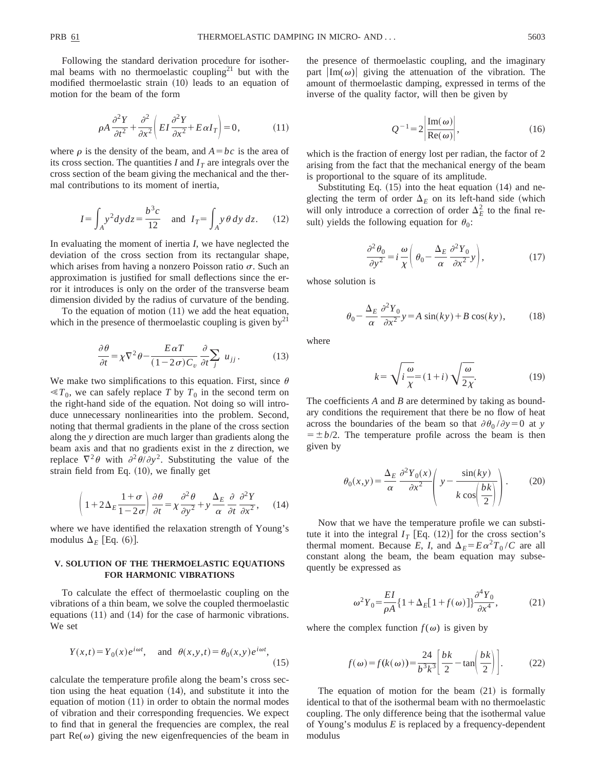Following the standard derivation procedure for isothermal beams with no thermoelastic coupling<sup>21</sup> but with the modified thermoelastic strain  $(10)$  leads to an equation of motion for the beam of the form

$$
\rho A \frac{\partial^2 Y}{\partial t^2} + \frac{\partial^2}{\partial x^2} \left( EI \frac{\partial^2 Y}{\partial x^2} + E \alpha I_T \right) = 0, \tag{11}
$$

where  $\rho$  is the density of the beam, and  $A=b\,c$  is the area of its cross section. The quantities  $I$  and  $I_T$  are integrals over the cross section of the beam giving the mechanical and the thermal contributions to its moment of inertia,

$$
I = \int_A y^2 dy dz = \frac{b^3 c}{12} \quad \text{and} \quad I_T = \int_A y \theta dy dz. \tag{12}
$$

In evaluating the moment of inertia *I*, we have neglected the deviation of the cross section from its rectangular shape, which arises from having a nonzero Poisson ratio  $\sigma$ . Such an approximation is justified for small deflections since the error it introduces is only on the order of the transverse beam dimension divided by the radius of curvature of the bending.

To the equation of motion  $(11)$  we add the heat equation, which in the presence of thermoelastic coupling is given by $^{21}$ 

$$
\frac{\partial \theta}{\partial t} = \chi \nabla^2 \theta - \frac{E \alpha T}{(1 - 2\sigma) C_v} \frac{\partial}{\partial t} \sum_j u_{jj}.
$$
 (13)

We make two simplifications to this equation. First, since  $\theta$  $\ll T_0$ , we can safely replace *T* by  $T_0$  in the second term on the right-hand side of the equation. Not doing so will introduce unnecessary nonlinearities into the problem. Second, noting that thermal gradients in the plane of the cross section along the *y* direction are much larger than gradients along the beam axis and that no gradients exist in the *z* direction, we replace  $\nabla^2 \theta$  with  $\partial^2 \theta / \partial y^2$ . Substituting the value of the strain field from Eq.  $(10)$ , we finally get

$$
\left(1+2\Delta_E \frac{1+\sigma}{1-2\sigma}\right) \frac{\partial \theta}{\partial t} = \chi \frac{\partial^2 \theta}{\partial y^2} + y \frac{\Delta_E}{\alpha} \frac{\partial}{\partial t} \frac{\partial^2 Y}{\partial x^2},\qquad(14)
$$

where we have identified the relaxation strength of Young's modulus  $\Delta_E$  [Eq. (6)].

## **V. SOLUTION OF THE THERMOELASTIC EQUATIONS FOR HARMONIC VIBRATIONS**

To calculate the effect of thermoelastic coupling on the vibrations of a thin beam, we solve the coupled thermoelastic equations  $(11)$  and  $(14)$  for the case of harmonic vibrations. We set

$$
Y(x,t) = Y_0(x)e^{i\omega t}, \text{ and } \theta(x,y,t) = \theta_0(x,y)e^{i\omega t}, \tag{15}
$$

calculate the temperature profile along the beam's cross section using the heat equation  $(14)$ , and substitute it into the equation of motion  $(11)$  in order to obtain the normal modes of vibration and their corresponding frequencies. We expect to find that in general the frequencies are complex, the real part  $\text{Re}(\omega)$  giving the new eigenfrequencies of the beam in the presence of thermoelastic coupling, and the imaginary part  $\text{Im}(\omega)$  giving the attenuation of the vibration. The amount of thermoelastic damping, expressed in terms of the inverse of the quality factor, will then be given by

$$
Q^{-1} = 2 \left| \frac{\text{Im}(\omega)}{\text{Re}(\omega)} \right|,\tag{16}
$$

which is the fraction of energy lost per radian, the factor of 2 arising from the fact that the mechanical energy of the beam is proportional to the square of its amplitude.

Substituting Eq.  $(15)$  into the heat equation  $(14)$  and neglecting the term of order  $\Delta_E$  on its left-hand side (which will only introduce a correction of order  $\Delta_E^2$  to the final result) yields the following equation for  $\theta_0$ :

$$
\frac{\partial^2 \theta_0}{\partial y^2} = i \frac{\omega}{\chi} \left( \theta_0 - \frac{\Delta_E}{\alpha} \frac{\partial^2 Y_0}{\partial x^2} y \right),\tag{17}
$$

whose solution is

$$
\theta_0 - \frac{\Delta_E}{\alpha} \frac{\partial^2 Y_0}{\partial x^2} y = A \sin(ky) + B \cos(ky), \quad (18)
$$

where

$$
k = \sqrt{i \frac{\omega}{\chi}} = (1+i) \sqrt{\frac{\omega}{2\chi}}.
$$
 (19)

The coefficients *A* and *B* are determined by taking as boundary conditions the requirement that there be no flow of heat across the boundaries of the beam so that  $\partial \theta_0 / \partial y = 0$  at *y*  $= \pm b/2$ . The temperature profile across the beam is then given by

$$
\theta_0(x,y) = \frac{\Delta_E}{\alpha} \frac{\partial^2 Y_0(x)}{\partial x^2} \left( y - \frac{\sin(ky)}{k \cos\left(\frac{bk}{2}\right)} \right). \tag{20}
$$

Now that we have the temperature profile we can substitute it into the integral  $I_T$  [Eq. (12)] for the cross section's thermal moment. Because *E*, *I*, and  $\Delta_E = E \alpha^2 T_0 / C$  are all constant along the beam, the beam equation may subsequently be expressed as

$$
\omega^2 Y_0 = \frac{EI}{\rho A} \{ 1 + \Delta_E [1 + f(\omega)] \} \frac{\partial^4 Y_0}{\partial x^4},
$$
 (21)

where the complex function  $f(\omega)$  is given by

$$
f(\omega) = f(k(\omega)) = \frac{24}{b^3 k^3} \left[ \frac{bk}{2} - \tan\left(\frac{bk}{2}\right) \right].
$$
 (22)

The equation of motion for the beam  $(21)$  is formally identical to that of the isothermal beam with no thermoelastic coupling. The only difference being that the isothermal value of Young's modulus *E* is replaced by a frequency-dependent modulus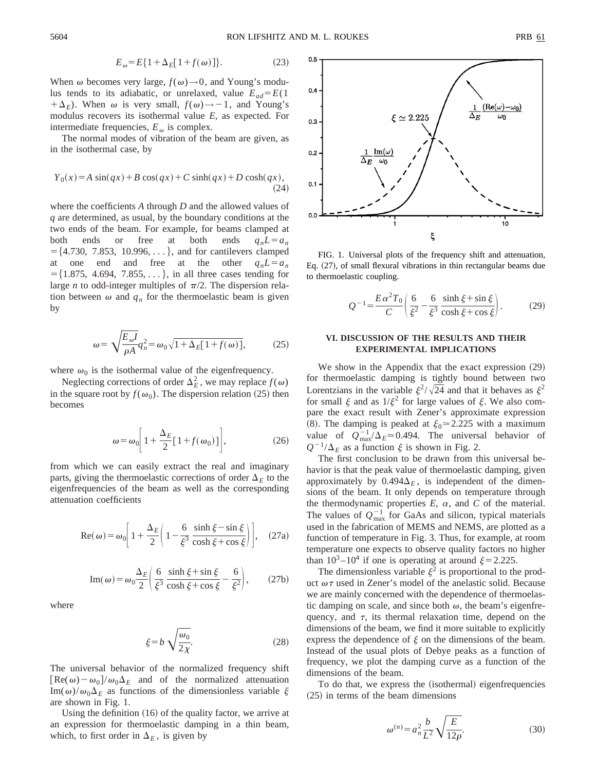$$
E_{\omega} = E\{1 + \Delta_E[1 + f(\omega)]\}.
$$
 (23)

When  $\omega$  becomes very large,  $f(\omega) \rightarrow 0$ , and Young's modulus tends to its adiabatic, or unrelaxed, value  $E_{ad} = E(1$  $+\Delta_E$ ). When  $\omega$  is very small,  $f(\omega) \rightarrow -1$ , and Young's modulus recovers its isothermal value *E*, as expected. For intermediate frequencies,  $E_{\omega}$  is complex.

The normal modes of vibration of the beam are given, as in the isothermal case, by

$$
Y_0(x) = A \sin(qx) + B \cos(qx) + C \sinh(qx) + D \cosh(qx),
$$
\n(24)

where the coefficients *A* through *D* and the allowed values of *q* are determined, as usual, by the boundary conditions at the two ends of the beam. For example, for beams clamped at both ends or free at both ends  $q_nL = a_n$  $=$ {4.730, 7.853, 10.996, ...}, and for cantilevers clamped at one end and free at the other  $q_nL=a_n$  $= \{1.875, 4.694, 7.855, \ldots \}$ , in all three cases tending for large *n* to odd-integer multiples of  $\pi/2$ . The dispersion relation between  $\omega$  and  $q_n$  for the thermoelastic beam is given by

$$
\omega = \sqrt{\frac{E_{\omega}I}{\rho A}}q_n^2 = \omega_0 \sqrt{1 + \Delta_E[1 + f(\omega)]},\tag{25}
$$

where  $\omega_0$  is the isothermal value of the eigenfrequency.

Neglecting corrections of order  $\Delta_E^2$ , we may replace  $f(\omega)$ in the square root by  $f(\omega_0)$ . The dispersion relation (25) then becomes

$$
\omega = \omega_0 \left[ 1 + \frac{\Delta_E}{2} \left[ 1 + f(\omega_0) \right] \right],\tag{26}
$$

from which we can easily extract the real and imaginary parts, giving the thermoelastic corrections of order  $\Delta_F$  to the eigenfrequencies of the beam as well as the corresponding attenuation coefficients

$$
\operatorname{Re}(\omega) = \omega_0 \left[ 1 + \frac{\Delta_E}{2} \left( 1 - \frac{6}{\xi^3} \frac{\sinh \xi - \sin \xi}{\cosh \xi + \cos \xi} \right) \right], \quad (27a)
$$

Im(
$$
\omega
$$
) =  $\omega_0 \frac{\Delta_E}{2} \left( \frac{6}{\xi^3} \frac{\sinh \xi + \sin \xi}{\cosh \xi + \cos \xi} - \frac{6}{\xi^2} \right)$ , (27b)

where

$$
\xi = b \sqrt{\frac{\omega_0}{2\chi}}.\tag{28}
$$

The universal behavior of the normalized frequency shift  $[\text{Re}(\omega)-\omega_0]/\omega_0\Delta_E$  and of the normalized attenuation Im( $\omega$ )/ $\omega_0\Delta_E$  as functions of the dimensionless variable  $\xi$ are shown in Fig. 1.

Using the definition  $(16)$  of the quality factor, we arrive at an expression for thermoelastic damping in a thin beam, which, to first order in  $\Delta_E$ , is given by



FIG. 1. Universal plots of the frequency shift and attenuation, Eq.  $(27)$ , of small flexural vibrations in thin rectangular beams due to thermoelastic coupling.

$$
Q^{-1} = \frac{E\alpha^2 T_0}{C} \left( \frac{6}{\xi^2} - \frac{6}{\xi^3} \frac{\sinh \xi + \sin \xi}{\cosh \xi + \cos \xi} \right). \tag{29}
$$

# **VI. DISCUSSION OF THE RESULTS AND THEIR EXPERIMENTAL IMPLICATIONS**

We show in the Appendix that the exact expression  $(29)$ for thermoelastic damping is tightly bound between two Lorentzians in the variable  $\xi^2/\sqrt{24}$  and that it behaves as  $\xi^2$ for small  $\xi$  and as  $1/\xi^2$  for large values of  $\xi$ . We also compare the exact result with Zener's approximate expression (8). The damping is peaked at  $\xi_0 \approx 2.225$  with a maximum value of  $Q_{\text{max}}^{-1}/\Delta_E \approx 0.494$ . The universal behavior of  $Q^{-1}/\Delta_E$  as a function  $\xi$  is shown in Fig. 2.

The first conclusion to be drawn from this universal behavior is that the peak value of thermoelastic damping, given approximately by  $0.494\Delta_E$ , is independent of the dimensions of the beam. It only depends on temperature through the thermodynamic properties  $E$ ,  $\alpha$ , and  $C$  of the material. The values of  $Q_{\text{max}}^{-1}$  for GaAs and silicon, typical materials used in the fabrication of MEMS and NEMS, are plotted as a function of temperature in Fig. 3. Thus, for example, at room temperature one expects to observe quality factors no higher than  $10^3 - 10^4$  if one is operating at around  $\xi = 2.225$ .

The dimensionless variable  $\xi^2$  is proportional to the product  $\omega\tau$  used in Zener's model of the anelastic solid. Because we are mainly concerned with the dependence of thermoelastic damping on scale, and since both  $\omega$ , the beam's eigenfrequency, and  $\tau$ , its thermal relaxation time, depend on the dimensions of the beam, we find it more suitable to explicitly express the dependence of  $\xi$  on the dimensions of the beam. Instead of the usual plots of Debye peaks as a function of frequency, we plot the damping curve as a function of the dimensions of the beam.

To do that, we express the (isothermal) eigenfrequencies  $(25)$  in terms of the beam dimensions

$$
\omega^{(n)} = a_n^2 \frac{b}{L^2} \sqrt{\frac{E}{12\rho}}.
$$
\n(30)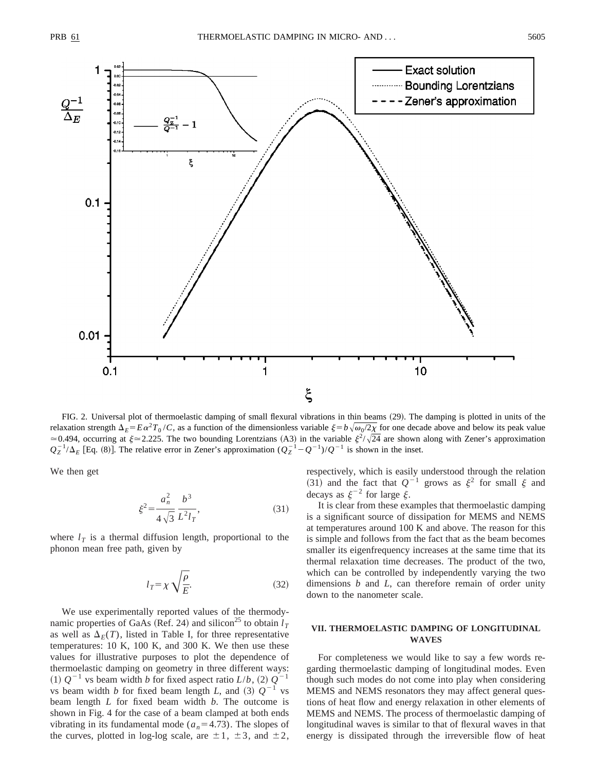

FIG. 2. Universal plot of thermoelastic damping of small flexural vibrations in thin beams (29). The damping is plotted in units of the relaxation strength  $\Delta_E = E \alpha^2 T_0 / C$ , as a function of the dimensionless variable  $\xi = b \sqrt{\omega_0 / 2\chi}$  for one decade above and below its peak value  $\approx$  0.494, occurring at  $\xi \approx$  2.225. The two bounding Lorentzians (A3) in the variable  $\xi^2/\sqrt{24}$  are shown along with Zener's approximation  $Q_Z^{-1}/\Delta_E$  [Eq. (8)]. The relative error in Zener's approximation  $(Q_Z^{-1}-Q^{-1})/Q^{-1}$  is shown in the inset.

We then get

$$
\xi^2 = \frac{a_n^2}{4\sqrt{3}} \frac{b^3}{L^2 l_T},
$$
\n(31)

where  $l<sub>T</sub>$  is a thermal diffusion length, proportional to the phonon mean free path, given by

$$
l_T = \chi \sqrt{\frac{\rho}{E}}.\tag{32}
$$

We use experimentally reported values of the thermodynamic properties of GaAs (Ref. 24) and silicon<sup>25</sup> to obtain  $l_T$ as well as  $\Delta_F(T)$ , listed in Table I, for three representative temperatures: 10 K, 100 K, and 300 K. We then use these values for illustrative purposes to plot the dependence of thermoelastic damping on geometry in three different ways:  $(1)$   $Q^{-1}$  vs beam width *b* for fixed aspect ratio *L*/*b*, (2)  $Q^{-1}$ vs beam width *b* for fixed beam length *L*, and (3)  $Q^{-1}$  vs beam length *L* for fixed beam width *b*. The outcome is shown in Fig. 4 for the case of a beam clamped at both ends vibrating in its fundamental mode ( $a_n$ =4.73). The slopes of the curves, plotted in log-log scale, are  $\pm 1$ ,  $\pm 3$ , and  $\pm 2$ ,

respectively, which is easily understood through the relation (31) and the fact that  $Q^{-1}$  grows as  $\xi^2$  for small  $\xi$  and decays as  $\xi^{-2}$  for large  $\xi$ .

It is clear from these examples that thermoelastic damping is a significant source of dissipation for MEMS and NEMS at temperatures around 100 K and above. The reason for this is simple and follows from the fact that as the beam becomes smaller its eigenfrequency increases at the same time that its thermal relaxation time decreases. The product of the two, which can be controlled by independently varying the two dimensions *b* and *L*, can therefore remain of order unity down to the nanometer scale.

### **VII. THERMOELASTIC DAMPING OF LONGITUDINAL WAVES**

For completeness we would like to say a few words regarding thermoelastic damping of longitudinal modes. Even though such modes do not come into play when considering MEMS and NEMS resonators they may affect general questions of heat flow and energy relaxation in other elements of MEMS and NEMS. The process of thermoelastic damping of longitudinal waves is similar to that of flexural waves in that energy is dissipated through the irreversible flow of heat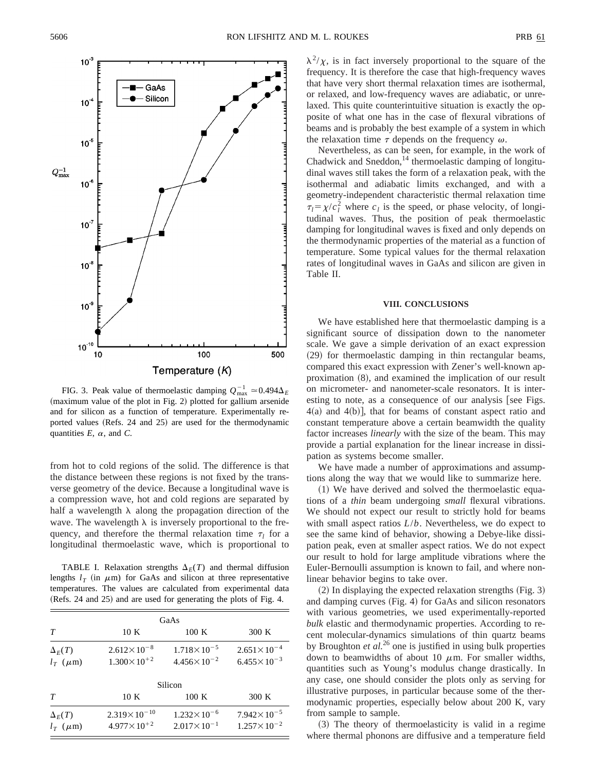

FIG. 3. Peak value of thermoelastic damping  $Q_{\text{max}}^{-1} \approx 0.494 \Delta_E$ (maximum value of the plot in Fig. 2) plotted for gallium arsenide and for silicon as a function of temperature. Experimentally reported values (Refs. 24 and 25) are used for the thermodynamic quantities  $E$ ,  $\alpha$ , and  $C$ .

from hot to cold regions of the solid. The difference is that the distance between these regions is not fixed by the transverse geometry of the device. Because a longitudinal wave is a compression wave, hot and cold regions are separated by half a wavelength  $\lambda$  along the propagation direction of the wave. The wavelength  $\lambda$  is inversely proportional to the frequency, and therefore the thermal relaxation time  $\tau_l$  for a longitudinal thermoelastic wave, which is proportional to

TABLE I. Relaxation strengths  $\Delta_E(T)$  and thermal diffusion lengths  $l_T$  (in  $\mu$ m) for GaAs and silicon at three representative temperatures. The values are calculated from experimental data (Refs. 24 and 25) and are used for generating the plots of Fig. 4.

| GaAs             |                        |                        |                        |  |  |
|------------------|------------------------|------------------------|------------------------|--|--|
| T                | 10K                    | 100K                   | 300 K                  |  |  |
| $\Delta_F(T)$    | $2.612\times10^{-8}$   | $1.718 \times 10^{-5}$ | $2.651 \times 10^{-4}$ |  |  |
| $l_T$ ( $\mu$ m) | $1.300 \times 10^{+2}$ | $4.456 \times 10^{-2}$ | $6.455 \times 10^{-3}$ |  |  |
|                  |                        | Silicon                |                        |  |  |
| T                | 10K                    | 100K                   | 300 K                  |  |  |
| $\Delta_F(T)$    | $2.319\times10^{-10}$  | $1.232 \times 10^{-6}$ | $7.942\times10^{-5}$   |  |  |
| $l_T$ ( $\mu$ m) | $4.977 \times 10^{+2}$ | $2.017\times10^{-1}$   | $1.257 \times 10^{-2}$ |  |  |

 $\lambda^2/\chi$ , is in fact inversely proportional to the square of the frequency. It is therefore the case that high-frequency waves that have very short thermal relaxation times are isothermal, or relaxed, and low-frequency waves are adiabatic, or unrelaxed. This quite counterintuitive situation is exactly the opposite of what one has in the case of flexural vibrations of beams and is probably the best example of a system in which the relaxation time  $\tau$  depends on the frequency  $\omega$ .

Nevertheless, as can be seen, for example, in the work of Chadwick and Sneddon, $14$  thermoelastic damping of longitudinal waves still takes the form of a relaxation peak, with the isothermal and adiabatic limits exchanged, and with a geometry-independent characteristic thermal relaxation time  $\tau_l = \chi/c_l^2$  where  $c_l$  is the speed, or phase velocity, of longitudinal waves. Thus, the position of peak thermoelastic damping for longitudinal waves is fixed and only depends on the thermodynamic properties of the material as a function of temperature. Some typical values for the thermal relaxation rates of longitudinal waves in GaAs and silicon are given in Table II.

### **VIII. CONCLUSIONS**

We have established here that thermoelastic damping is a significant source of dissipation down to the nanometer scale. We gave a simple derivation of an exact expression  $(29)$  for thermoelastic damping in thin rectangular beams, compared this exact expression with Zener's well-known approximation  $(8)$ , and examined the implication of our result on micrometer- and nanometer-scale resonators. It is interesting to note, as a consequence of our analysis [see Figs.  $4(a)$  and  $4(b)$ , that for beams of constant aspect ratio and constant temperature above a certain beamwidth the quality factor increases *linearly* with the size of the beam. This may provide a partial explanation for the linear increase in dissipation as systems become smaller.

We have made a number of approximations and assumptions along the way that we would like to summarize here.

 $(1)$  We have derived and solved the thermoelastic equations of a *thin* beam undergoing *small* flexural vibrations. We should not expect our result to strictly hold for beams with small aspect ratios *L*/*b*. Nevertheless, we do expect to see the same kind of behavior, showing a Debye-like dissipation peak, even at smaller aspect ratios. We do not expect our result to hold for large amplitude vibrations where the Euler-Bernoulli assumption is known to fail, and where nonlinear behavior begins to take over.

 $(2)$  In displaying the expected relaxation strengths (Fig. 3) and damping curves  $(Fig. 4)$  for GaAs and silicon resonators with various geometries, we used experimentally-reported *bulk* elastic and thermodynamic properties. According to recent molecular-dynamics simulations of thin quartz beams by Broughton *et al.*<sup>26</sup> one is justified in using bulk properties down to beamwidths of about 10  $\mu$ m. For smaller widths, quantities such as Young's modulus change drastically. In any case, one should consider the plots only as serving for illustrative purposes, in particular because some of the thermodynamic properties, especially below about 200 K, vary from sample to sample.

 $(3)$  The theory of thermoelasticity is valid in a regime where thermal phonons are diffusive and a temperature field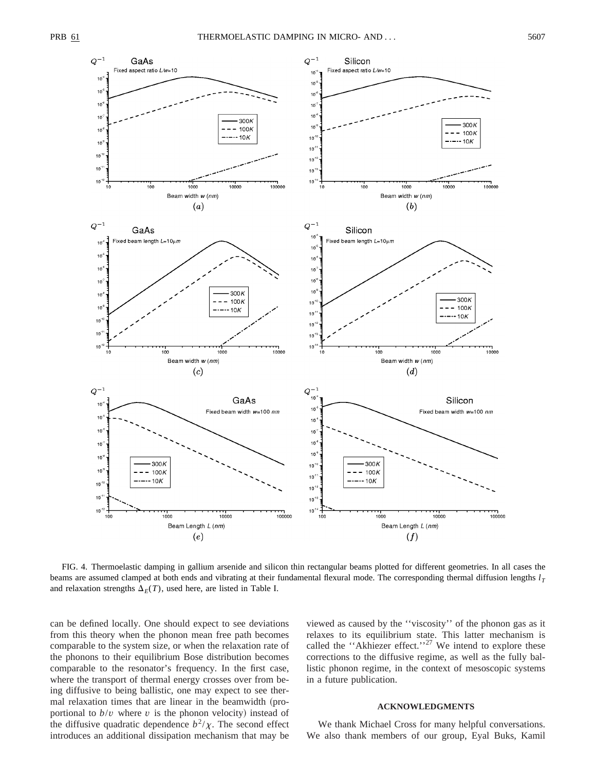

FIG. 4. Thermoelastic damping in gallium arsenide and silicon thin rectangular beams plotted for different geometries. In all cases the beams are assumed clamped at both ends and vibrating at their fundamental flexural mode. The corresponding thermal diffusion lengths  $l<sub>T</sub>$ and relaxation strengths  $\Delta_E(T)$ , used here, are listed in Table I.

can be defined locally. One should expect to see deviations from this theory when the phonon mean free path becomes comparable to the system size, or when the relaxation rate of the phonons to their equilibrium Bose distribution becomes comparable to the resonator's frequency. In the first case, where the transport of thermal energy crosses over from being diffusive to being ballistic, one may expect to see thermal relaxation times that are linear in the beamwidth (proportional to  $b/v$  where  $v$  is the phonon velocity) instead of the diffusive quadratic dependence  $b^2/\chi$ . The second effect introduces an additional dissipation mechanism that may be viewed as caused by the ''viscosity'' of the phonon gas as it relaxes to its equilibrium state. This latter mechanism is called the "Akhiezer effect."<sup>27</sup> We intend to explore these corrections to the diffusive regime, as well as the fully ballistic phonon regime, in the context of mesoscopic systems in a future publication.

# **ACKNOWLEDGMENTS**

We thank Michael Cross for many helpful conversations. We also thank members of our group, Eyal Buks, Kamil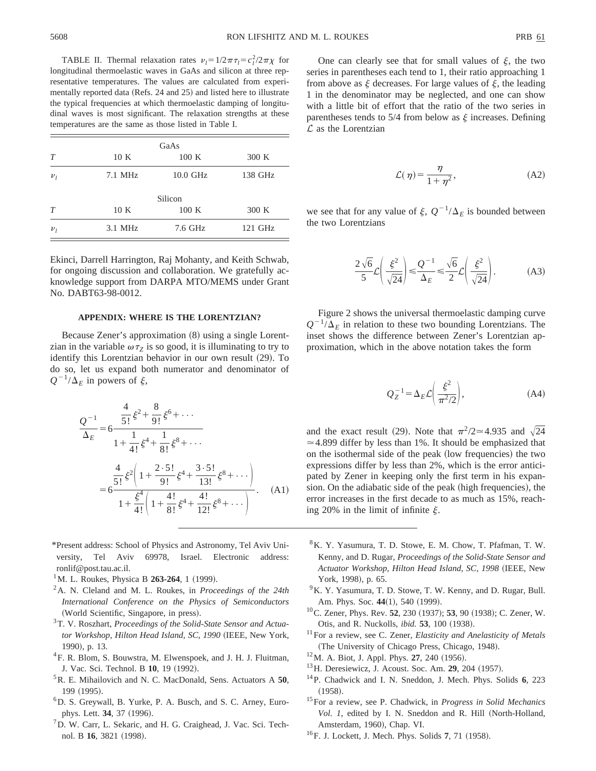TABLE II. Thermal relaxation rates  $v_l = 1/2\pi\tau_l = c_l^2/2\pi\chi$  for longitudinal thermoelastic waves in GaAs and silicon at three representative temperatures. The values are calculated from experimentally reported data (Refs. 24 and 25) and listed here to illustrate the typical frequencies at which thermoelastic damping of longitudinal waves is most significant. The relaxation strengths at these temperatures are the same as those listed in Table I.

| GaAs    |           |            |         |  |  |
|---------|-----------|------------|---------|--|--|
| T       | 10K       | 100K       | 300 K   |  |  |
| $\nu_1$ | $7.1$ MHz | $10.0$ GHz | 138 GHz |  |  |
|         |           | Silicon    |         |  |  |
| T       | 10K       | 100K       | 300 K   |  |  |
| $\nu_1$ | 3.1 MHz   | 7.6 GHz    | 121 GHz |  |  |

Ekinci, Darrell Harrington, Raj Mohanty, and Keith Schwab, for ongoing discussion and collaboration. We gratefully acknowledge support from DARPA MTO/MEMS under Grant No. DABT63-98-0012.

## **APPENDIX: WHERE IS THE LORENTZIAN?**

Because Zener's approximation  $(8)$  using a single Lorentzian in the variable  $\omega \tau_Z$  is so good, it is illuminating to try to identify this Lorentzian behavior in our own result (29). To do so, let us expand both numerator and denominator of  $Q^{-1}/\Delta_E$  in powers of  $\xi$ ,

$$
\frac{Q^{-1}}{\Delta_E} = 6 \frac{\frac{4}{5!} \xi^2 + \frac{8}{9!} \xi^6 + \cdots}{1 + \frac{1}{4!} \xi^4 + \frac{1}{8!} \xi^8 + \cdots}
$$

$$
= 6 \frac{\frac{4}{5!} \xi^2 \left(1 + \frac{2 \cdot 5!}{9!} \xi^4 + \frac{3 \cdot 5!}{13!} \xi^8 + \cdots \right)}{1 + \frac{\xi^4}{4!} \left(1 + \frac{4!}{8!} \xi^4 + \frac{4!}{12!} \xi^8 + \cdots \right)}.
$$
 (A1)

- \*Present address: School of Physics and Astronomy, Tel Aviv University, Tel Aviv 69978, Israel. Electronic address: ronlif@post.tau.ac.il.
- <sup>1</sup>M. L. Roukes, Physica B  $263-264$ , 1 (1999).
- 2A. N. Cleland and M. L. Roukes, in *Proceedings of the 24th International Conference on the Physics of Semiconductors* (World Scientific, Singapore, in press).
- 3T. V. Roszhart, *Proceedings of the Solid-State Sensor and Actua*tor Workshop, Hilton Head Island, SC, 1990 (IEEE, New York, 1990), p. 13.
- <sup>4</sup>F. R. Blom, S. Bouwstra, M. Elwenspoek, and J. H. J. Fluitman, J. Vac. Sci. Technol. B 10, 19 (1992).
- 5R. E. Mihailovich and N. C. MacDonald, Sens. Actuators A **50**, 199 (1995).
- 6D. S. Greywall, B. Yurke, P. A. Busch, and S. C. Arney, Europhys. Lett. **34**, 37 (1996).
- 7D. W. Carr, L. Sekaric, and H. G. Craighead, J. Vac. Sci. Technol. B 16, 3821 (1998).

One can clearly see that for small values of  $\xi$ , the two series in parentheses each tend to 1, their ratio approaching 1 from above as  $\xi$  decreases. For large values of  $\xi$ , the leading 1 in the denominator may be neglected, and one can show with a little bit of effort that the ratio of the two series in parentheses tends to 5/4 from below as  $\xi$  increases. Defining  $\mathcal L$  as the Lorentzian

$$
\mathcal{L}(\eta) = \frac{\eta}{1 + \eta^2},\tag{A2}
$$

we see that for any value of  $\xi$ ,  $Q^{-1}/\Delta_E$  is bounded between the two Lorentzians

$$
\frac{2\sqrt{6}}{5}\mathcal{L}\left(\frac{\xi^2}{\sqrt{24}}\right) \le \frac{Q^{-1}}{\Delta_E} \le \frac{\sqrt{6}}{2}\mathcal{L}\left(\frac{\xi^2}{\sqrt{24}}\right). \tag{A3}
$$

Figure 2 shows the universal thermoelastic damping curve  $Q^{-1}/\Delta_F$  in relation to these two bounding Lorentzians. The inset shows the difference between Zener's Lorentzian approximation, which in the above notation takes the form

$$
Q_Z^{-1} = \Delta_E \mathcal{L} \left( \frac{\xi^2}{\pi^2 / 2} \right),\tag{A4}
$$

and the exact result (29). Note that  $\pi^2/2 \approx 4.935$  and  $\sqrt{24}$  $\approx$  4.899 differ by less than 1%. It should be emphasized that on the isothermal side of the peak (low frequencies) the two expressions differ by less than 2%, which is the error anticipated by Zener in keeping only the first term in his expansion. On the adiabatic side of the peak (high frequencies), the error increases in the first decade to as much as 15%, reaching 20% in the limit of infinite  $\xi$ .

- 8K. Y. Yasumura, T. D. Stowe, E. M. Chow, T. Pfafman, T. W. Kenny, and D. Rugar, *Proceedings of the Solid-State Sensor and* Actuator Workshop, Hilton Head Island, SC, 1998 (IEEE, New York, 1998), p. 65.
- $9K$ . Y. Yasumura, T. D. Stowe, T. W. Kenny, and D. Rugar, Bull. Am. Phys. Soc. 44<sup>(1)</sup>, 540 (1999).
- <sup>10</sup>C. Zener, Phys. Rev. **52**, 230 (1937); **53**, 90 (1938); C. Zener, W. Otis, and R. Nuckolls, *ibid.* **53**, 100 (1938).
- 11For a review, see C. Zener, *Elasticity and Anelasticity of Metals* (The University of Chicago Press, Chicago, 1948).
- <sup>12</sup>M. A. Biot, J. Appl. Phys. **27**, 240 (1956).
- <sup>13</sup>H. Deresiewicz, J. Acoust. Soc. Am. **29**, 204 (1957).
- 14P. Chadwick and I. N. Sneddon, J. Mech. Phys. Solids **6**, 223  $(1958).$
- 15For a review, see P. Chadwick, in *Progress in Solid Mechanics* Vol. 1, edited by I. N. Sneddon and R. Hill (North-Holland, Amsterdam, 1960), Chap. VI.
- <sup>16</sup>F. J. Lockett, J. Mech. Phys. Solids 7, 71 (1958).